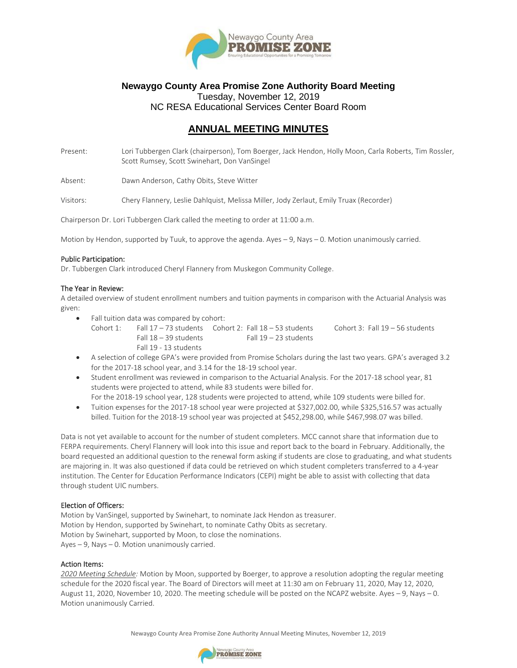

## **Newaygo County Area Promise Zone Authority Board Meeting** Tuesday, November 12, 2019 NC RESA Educational Services Center Board Room

# **ANNUAL MEETING MINUTES**

Present: Lori Tubbergen Clark (chairperson), Tom Boerger, Jack Hendon, Holly Moon, Carla Roberts, Tim Rossler, Scott Rumsey, Scott Swinehart, Don VanSingel

Absent: Dawn Anderson, Cathy Obits, Steve Witter

Visitors: Chery Flannery, Leslie Dahlquist, Melissa Miller, Jody Zerlaut, Emily Truax (Recorder)

Chairperson Dr. Lori Tubbergen Clark called the meeting to order at 11:00 a.m.

Motion by Hendon, supported by Tuuk, to approve the agenda. Ayes – 9, Nays – 0. Motion unanimously carried.

#### Public Participation:

Dr. Tubbergen Clark introduced Cheryl Flannery from Muskegon Community College.

### The Year in Review:

A detailed overview of student enrollment numbers and tuition payments in comparison with the Actuarial Analysis was given:

- Fall tuition data was compared by cohort:
	- Cohort 1: Fall 17 73 students Cohort 2: Fall 18 53 students Cohort 3: Fall 19 56 students Fall  $18 - 39$  students Fall  $19 - 23$  students Fall 19 - 13 students
- A selection of college GPA's were provided from Promise Scholars during the last two years. GPA's averaged 3.2 for the 2017-18 school year, and 3.14 for the 18-19 school year.
- Student enrollment was reviewed in comparison to the Actuarial Analysis. For the 2017-18 school year, 81 students were projected to attend, while 83 students were billed for.
- For the 2018-19 school year, 128 students were projected to attend, while 109 students were billed for. • Tuition expenses for the 2017-18 school year were projected at \$327,002.00, while \$325,516.57 was actually billed. Tuition for the 2018-19 school year was projected at \$452,298.00, while \$467,998.07 was billed.

Data is not yet available to account for the number of student completers. MCC cannot share that information due to FERPA requirements. Cheryl Flannery will look into this issue and report back to the board in February. Additionally, the board requested an additional question to the renewal form asking if students are close to graduating, and what students are majoring in. It was also questioned if data could be retrieved on which student completers transferred to a 4-year institution. The Center for Education Performance Indicators (CEPI) might be able to assist with collecting that data through student UIC numbers.

### Election of Officers:

Motion by VanSingel, supported by Swinehart, to nominate Jack Hendon as treasurer. Motion by Hendon, supported by Swinehart, to nominate Cathy Obits as secretary. Motion by Swinehart, supported by Moon, to close the nominations. Ayes – 9, Nays – 0. Motion unanimously carried.

### Action Items:

*2020 Meeting Schedule:* Motion by Moon, supported by Boerger, to approve a resolution adopting the regular meeting schedule for the 2020 fiscal year. The Board of Directors will meet at 11:30 am on February 11, 2020, May 12, 2020, August 11, 2020, November 10, 2020. The meeting schedule will be posted on the NCAPZ website. Ayes – 9, Nays – 0. Motion unanimously Carried.

Newaygo County Area Promise Zone Authority Annual Meeting Minutes, November 12, 2019